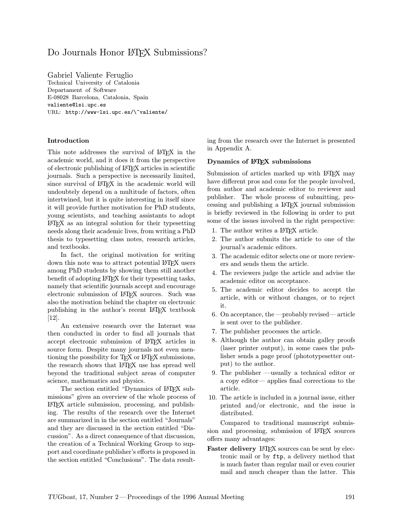# Do Journals Honor LAT<sub>EX</sub> Submissions?

Gabriel Valiente Feruglio Technical University of Catalonia Departament of Software E-08028 Barcelona, Catalonia, Spain valiente@lsi.upc.es URL: http://www-lsi.upc.es/\~valiente/

#### Introduction

This note addresses the survival of LATEX in the academic world, and it does it from the perspective of electronic publishing of LATEX articles in scientific journals. Such a perspective is necessarily limited, since survival of LAT<sub>EX</sub> in the academic world will undoubtely depend on a multitude of factors, often intertwined, but it is quite interesting in itself since it will provide further motivation for PhD students, young scientists, and teaching assistants to adopt LATEX as an integral solution for their typesetting needs along their academic lives, from writing a PhD thesis to typesetting class notes, research articles, and textbooks.

In fact, the original motivation for writing down this note was to attract potential LATEX users among PhD students by showing them still another benefit of adopting LATEX for their typesetting tasks, namely that scientific journals accept and encourage electronic submission of LATEX sources. Such was also the motivation behind the chapter on electronic publishing in the author's recent LATEX textbook [12].

An extensive research over the Internet was then conducted in order to find all journals that accept electronic submission of LATEX articles in source form. Despite many journals not even mentioning the possibility for T<sub>EX</sub> or LAT<sub>EX</sub> submissions, the research shows that LAT<sub>EX</sub> use has spread well beyond the traditional subject areas of computer science, mathematics and physics.

The section entitled "Dynamics of LATEX submissions" gives an overview of the whole process of LATEX article submission, processing, and publishing. The results of the research over the Internet are summarized in in the section entitled "Journals" and they are discussed in the section entitled "Discussion". As a direct consequence of that discussion, the creation of a Technical Working Group to support and coordinate publisher's efforts is proposed in the section entitled "Conclusions". The data resulting from the research over the Internet is presented in Appendix A.

#### Dynamics of  $MEx$  submissions

Submission of articles marked up with LATEX may have different pros and cons for the people involved, from author and academic editor to reviewer and publisher. The whole process of submitting, processing and publishing a LATEX journal submission is briefly reviewed in the following in order to put some of the issues involved in the right perspective:

- 1. The author writes a LATEX article.
- 2. The author submits the article to one of the journal's academic editors.
- 3. The academic editor selects one or more reviewers and sends them the article.
- 4. The reviewers judge the article and advise the academic editor on acceptance.
- 5. The academic editor decides to accept the article, with or without changes, or to reject it.
- 6. On acceptance, the —probably revised— article is sent over to the publisher.
- 7. The publisher processes the article.
- 8. Although the author can obtain galley proofs (laser printer output), in some cases the publisher sends a page proof (phototypesetter output) to the author.
- 9. The publisher —usually a technical editor or a copy editor— applies final corrections to the article.
- 10. The article is included in a journal issue, either printed and/or electronic, and the issue is distributed.

Compared to traditional manuscript submission and processing, submission of LAT<sub>EX</sub> sources offers many advantages:

Faster delivery LATFX sources can be sent by electronic mail or by ftp, a delivery method that is much faster than regular mail or even courier mail and much cheaper than the latter. This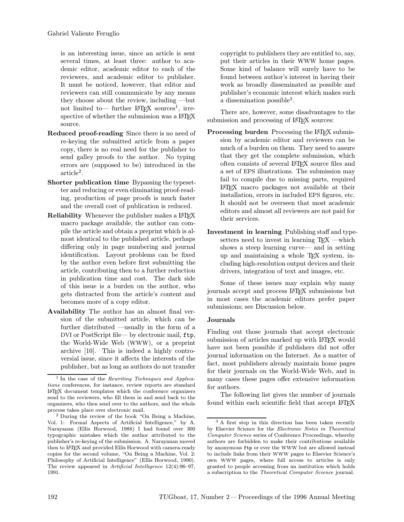is an interesting issue, since an article is sent several times, at least three: author to academic editor, academic editor to each of the reviewers, and academic editor to publisher. It must be noticed, however, that editor and reviewers can still communicate by any means they choose about the review, including —but not limited to— further  $\mathbb{A}\text{Tr}X$  sources<sup>1</sup>, irrespective of whether the submission was a LAT<sub>EX</sub> source.

- Reduced proof-reading Since there is no need of re-keying the submitted article from a paper copy, there is no real need for the publisher to send galley proofs to the author. No typing errors are (supposed to be) introduced in the article<sup>2</sup>.
- Shorter publication time Bypassing the typesetter and reducing or even eliminating proof-reading, production of page proofs is much faster and the overall cost of publication is reduced.
- Reliability Whenever the publisher makes a LAT<sub>EX</sub> macro package available, the author can compile the article and obtain a preprint which is almost identical to the published article, perhaps differing only in page numbering and journal identification. Layout problems can be fixed by the author even before first submitting the article, contributing then to a further reduction in publication time and cost. The dark side of this issue is a burden on the author, who gets distracted from the article's content and becomes more of a copy editor.
- Availability The author has an almost final version of the submitted article, which can be further distributed —usually in the form of a DVI or PostScript file— by electronic mail, ftp, the World-Wide Web (WWW), or a preprint archive [10]. This is indeed a highly controversial issue, since it affects the interests of the publisher, but as long as authors do not transfer

copyright to publishers they are entitled to, say, put their articles in their WWW home pages. Some kind of balance will surely have to be found between author's interest in having their work as broadly disseminated as possible and publisher's economic interest which makes such a dissemination possible<sup>3</sup>.

There are, however, some disadvantages to the submission and processing of LAT<sub>EX</sub> sources:

- Processing burden Processing the LAT<sub>EX</sub> submission by academic editor and reviewers can be much of a burden on them. They need to assure that they get the complete submission, which often consists of several LATEX source files and a set of EPS illustrations. The submission may fail to compile due to missing parts, required LATEX macro packages not available at their installation, errors in included EPS figures, etc. It should not be overseen that most academic editors and almost all reviewers are not paid for their services.
- Investment in learning Publishing staff and typesetters need to invest in learning T<sub>EX</sub> —which shows a steep learning curve— and in setting up and maintaining a whole TEX system, including high-resolution output devices and their drivers, integration of text and images, etc.

Some of these issues may explain why many journals accept and process LATEX submissions but in most cases the academic editors prefer paper submissions; see Discussion below.

# Journals

Finding out those journals that accept electronic submission of articles marked up with LATEX would have not been possible if publishers did not offer journal information on the Internet. As a matter of fact, most publishers already maintain home pages for their journals on the World-Wide Web, and in many cases these pages offer extensive information for authors.

The following list gives the number of journals found within each scientific field that accept LATEX

<sup>&</sup>lt;sup>1</sup> In the case of the *Rewriting Techniques and Applica*tions conferences, for instance, review reports are standard LATEX document templates which the conference organizers send to the reviewers, who fill them in and send back to the organizers, who then send over to the authors, and the whole process takes place over electronic mail.

<sup>2</sup> During the review of the book "On Being a Machine, Vol. 1: Formal Aspects of Artificial Intelligence," by A. Narayanan (Ellis Horwood, 1988) I had found over 300 typographic mistakes which the author attributed to the publisher's re-keying of the submission. A. Narayanan moved then to LATEX and provided Ellis Horwood with camera-ready copies for the second volume, "On Being a Machine, Vol. 2: Philosophy of Artificial Intelligence" (Ellis Horwood, 1990). The review appeared in Artificial Intelligence 12(4):96–97, 1991.

<sup>&</sup>lt;sup>3</sup> A first step in this direction has been taken recently by Elsevier Science for the Electronic Notes in Theoretical Computer Science series of Conference Proceedings, whereby authors are forbidden to make their contributions available by anonymous ftp or ever the WWW but are allowed instead to include links from their WWW pages to Elsevier Science's own WWW pages, where full access to articles is only granted to people accessing from an institution which holds a subscription to the Theoretical Computer Science journal.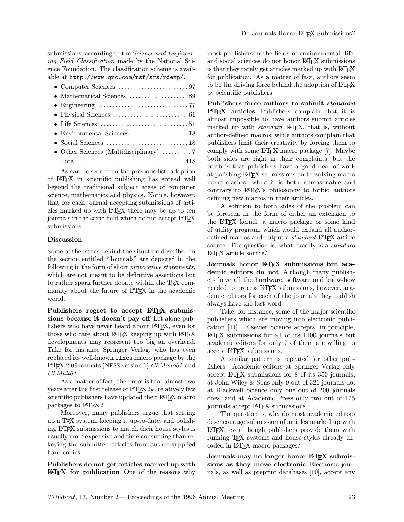submissions, according to the *Science and Engineer*ing Field Classification made by the National Science Foundation. The classification scheme is available at http://www.qrc.com/nsf/srs/rdexp/.

• Computer Sciences ........................ 97 • Mathematical Sciences .................... 89 • Engineering ............................... 77 • Physical Sciences .......................... 61 • Life Sciences .............................. 51 • Environmental Sciences ................... 18 • Social Sciences ............................ 18 • Other Sciences (Multidisciplinary) .......... 7 Total .................................... 418

As can be seen from the previous list, adoption of LATEX in scientific publishing has spread well beyond the traditional subject areas of computer science, mathematics and physics. Notice, however, that for each journal accepting submissions of articles marked up with LATEX there may be up to ten journals in the same field which do not accept L<sup>AT</sup>EX submissions.

# Discussion

Some of the issues behind the situation described in the section entitled "Journals" are depicted in the following in the form of short *provocative statements*, which are not meant to be definitive assertions but to rather spark further debate within the TFX community about the future of LAT<sub>EX</sub> in the academic world.

Publishers regret to accept LATEX submissions because it doesn't pay off Let alone publishers who have never heard about LATEX, even for those who care about LAT<sub>EX</sub> keeping up with LAT<sub>EX</sub> developments may represent too big an overhead. Take for instance Springer Verlag, who has even replaced its well-known llncs macro package by the LAT<sub>EX</sub> 2.09 formats (NFSS version 1)  $CLMonol1$  and CLMult01.

As a matter of fact, the proof is that almost two years after the first release of  $\text{LATEX} 2_{\epsilon}$ , relatively few scientific publishers have updated their L<sup>AT</sup>EX macro packages to LATFX  $2\varepsilon$ .

Moreover, many publishers argue that setting up a TEX system, keeping it up-to-date, and polishing LATEX submissions to match their house styles is usually more expensive and time-consuming than rekeying the submitted articles from author-supplied hard copies.

Publishers do not get articles marked up with  $\text{LFT}$  for publication One of the reasons why most publishers in the fields of environmental, life, and social sciences do not honor LATEX submissions is that they rarely get articles marked up with LAT<sub>EX</sub> for publication. As a matter of fact, authors seem to be the driving force behind the adoption of LAT<sub>EX</sub> by scientific publishers.

Publishers force authors to submit standard LATEX articles Publishers complain that it is almost impossible to have authors submit articles marked up with *standard* IAT<sub>E</sub>X, that is, without author-defined macros, while authors complain that publishers limit their creativity by forcing them to comply with some LATEX macro package [7]. Maybe both sides are right in their complaints, but the truth is that publishers have a good deal of work at polishing L<sup>AT</sup>EX submissions and resolving macro name clashes, while it is both unreasonable and contrary to LAT<sub>EX</sub>'s philosophy to forbid authors defining new macros in their articles.

A solution to both sides of the problem can be foreseen in the form of either an extension to the LATEX kernel, a macro package or some kind of utility program, which would expand all authordefined macros and output a *standard* LAT<sub>EX</sub> article source. The question is, what exactly is a *standard* LATEX article source?

Journals honor LATEX submissions but academic editors do not Although many publishers have all the hardware, software and know-how needed to process LAT<sub>EX</sub> submissions, however, academic editors for each of the journals they publish always have the last word.

Take, for instance, some of the major scientific publishers which are moving into electronic publication [11]. Elsevier Science accepts, in principle, LATEX submissions for all of its 1100 journals but academic editors for only 7 of them are willing to accept LATEX submissions.

A similar pattern is repeated for other publishers. Academic editors at Springer Verlag only accept LATEX submissions for 8 of its 350 journals, at John Wiley & Sons only 9 out of 326 journals do, at Blackwell Science only one out of 200 journals does, and at Academic Press only two out of 175 journals accept L<sup>AT</sup>EX submissions.

The question is, why do most academic editors desencourage submission of articles marked up with LATEX, even though publishers provide them with running TEX systems and house styles already encoded in LATEX macro packages?

Journals may no longer honor LATEX submissions as they move electronic Electronic journals, as well as preprint databases [10], accept any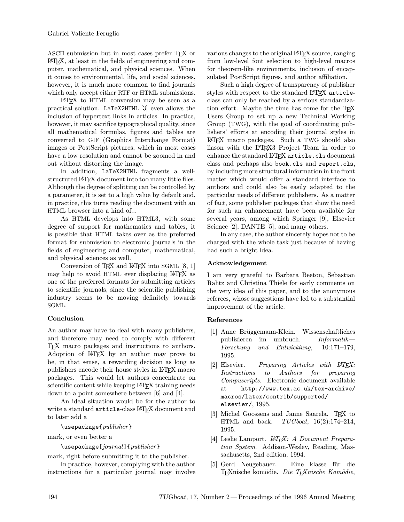ASCII submission but in most cases prefer TEX or LATEX, at least in the fields of engineering and computer, mathematical, and physical sciences. When it comes to environmental, life, and social sciences, however, it is much more common to find journals which only accept either RTF or HTML submissions.

LATEX to HTML conversion may be seen as a practical solution. LaTeX2HTML [3] even allows the inclusion of hypertext links in articles. In practice, however, it may sacrifice typographical quality, since all mathematical formulas, figures and tables are converted to GIF (Graphics Interchange Format) images or PostScript pictures, which in most cases have a low resolution and cannot be zoomed in and out without distorting the image.

In addition, LaTeX2HTML fragments a wellstructured LATEX document into too many little files. Although the degree of splitting can be controlled by a parameter, it is set to a high value by default and, in practice, this turns reading the document with an HTML browser into a kind of...

As HTML develops into HTML3, with some degree of support for mathematics and tables, it is possible that HTML takes over as the preferred format for submission to electronic journals in the fields of engineering and computer, mathematical, and physical sciences as well.

Conversion of T<sub>F</sub>X and L<sup>AT</sup>FX into SGML [8, 1] may help to avoid HTML ever displacing LATEX as one of the preferred formats for submitting articles to scientific journals, since the scientific publishing industry seems to be moving definitely towards SGML.

# Conclusion

An author may have to deal with many publishers, and therefore may need to comply with different TEX macro packages and instructions to authors. Adoption of LATEX by an author may prove to be, in that sense, a rewarding decision as long as publishers encode their house styles in LATEX macro packages. This would let authors concentrate on scientific content while keeping LATEX training needs down to a point somewhere between [6] and [4].

An ideal situation would be for the author to write a standard  $\arct{icle}$ -class LAT<sub>EX</sub> document and to later add a

\usepackage{publisher}

mark, or even better a

\usepackage[journal]{publisher}

mark, right before submitting it to the publisher.

In practice, however, complying with the author instructions for a particular journal may involve various changes to the original LATEX source, ranging from low-level font selection to high-level macros for theorem-like environments, inclusion of encapsulated PostScript figures, and author affiliation.

Such a high degree of transparency of publisher styles with respect to the standard L<sup>AT</sup>FX articleclass can only be reached by a serious standardization effort. Maybe the time has come for the TEX Users Group to set up a new Technical Working Group (TWG), with the goal of coordinating publishers' efforts at encoding their journal styles in LATEX macro packages. Such a TWG should also liason with the LAT<sub>EX</sub>3 Project Team in order to enhance the standard LATFX article.cls document class and perhaps also book.cls and report.cls, by including more structural information in the front matter which would offer a standard interface to authors and could also be easily adapted to the particular needs of different publishers. As a matter of fact, some publisher packages that show the need for such an enhancement have been available for several years, among which Springer [9], Elsevier Science [2], DANTE [5], and many others.

In any case, the author sincerely hopes not to be charged with the whole task just because of having had such a bright idea.

# Acknowledgement

I am very grateful to Barbara Beeton, Sebastian Rahtz and Christina Thiele for early comments on the very idea of this paper, and to the anonymous referees, whose suggestions have led to a substantial improvement of the article.

# References

- [1] Anne Brüggemann-Klein. Wissenschaftliches publizieren im umbruch. Informatik— Forschung und Entwicklung, 10:171–179, 1995.
- [2] Elsevier. Preparing Articles with LATEX: Instructions to Authors for preparing Compuscripts. Electronic document available at http://www.tex.ac.uk/tex-archive/ macros/latex/contrib/supported/ elsevier/, 1995.
- [3] Michel Goossens and Janne Saarela. TFX to HTML and back.  $TUGboat$ ,  $16(2):174-214$ , 1995.
- [4] Leslie Lamport. L<sup>AT</sup>FX: A Document Preparation System. Addison-Wesley, Reading, Massachusetts, 2nd edition, 1994.
- [5] Gerd Neugebauer. Eine klasse für die TEXnische komödie. Die TEXnische Komödie,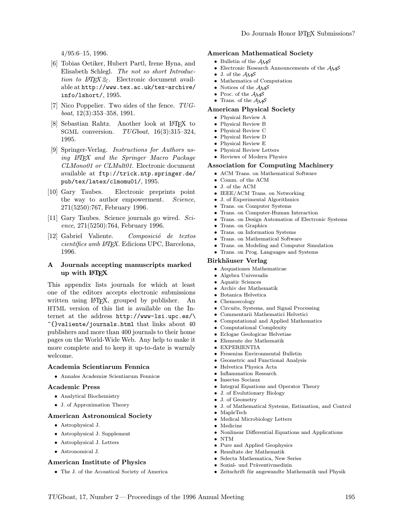4/95:6–15, 1996.

- [6] Tobias Oetiker, Hubert Partl, Irene Hyna, and Elisabeth Schlegl. The not so short Introduction to  $L^{2}T_{F}X2_{\varepsilon}$ . Electronic document available at http://www.tex.ac.uk/tex-archive/ info/lshort/, 1995.
- [7] Nico Poppelier. Two sides of the fence.  $TUG$ boat, 12(3):353–358, 1991.
- [8] Sebastian Rahtz. Another look at LAT<sub>EX</sub> to SGML conversion.  $TUGboat$ ,  $16(3):315-324$ , 1995.
- [9] Springer-Verlag. Instructions for Authors using LATEX and the Springer Macro Package CLMono01 or CLMult01. Electronic document available at ftp://trick.ntp.springer.de/ pub/tex/latex/clmomu01/, 1995.
- [10] Gary Taubes. Electronic preprints point the way to author empowerment. Science, 271(5250):767, February 1996.
- [11] Gary Taubes. Science journals go wired. Science, 271(5250):764, February 1996.
- [12] Gabriel Valiente. Composició de textos  $científics amb L^2TFX.$  Edicions UPC, Barcelona, 1996.

# A Journals accepting manuscripts marked up with LATEX

This appendix lists journals for which at least one of the editors accepts electronic submissions written using LAT<sub>EX</sub>, grouped by publisher. An HTML version of this list is available on the Internet at the address http://www-lsi.upc.es/\ ~{}valiente/journals.html that links about 40 publishers and more than 400 journals to their home pages on the World-Wide Web. Any help to make it more complete and to keep it up-to-date is warmly welcome.

#### Academia Scientiarum Fennica

• Annales Academiæ Scientiarum Fennicæ

# Academic Press

- Analytical Biochemistry
- J. of Approximation Theory

#### American Astronomical Society

- Astrophysical J.
- Astrophysical J. Supplement
- Astrophysical J. Letters
- $\bullet~$  Astronomical J.

#### American Institute of Physics

• The J. of the Acoustical Society of America

# American Mathematical Society

- Bulletin of the  $A_{\mathcal{M}}S$
- Electronic Research Announcements of the  $\mathcal{A} \mathcal{A} \mathcal{S}$
- J. of the  $A_{\mathcal{M}}S$
- Mathematics of Computation
- $\bullet~$  Notices of the  $\mathcal{A} \mathcal{M} \mathcal{S}$
- Proc. of the  $A_{\mathcal{M}}\mathcal{S}$
- Trans. of the  $A_{\mathcal{M}}S$

# American Physical Society

- Physical Review A
- Physical Review B
- Physical Review C
- Physical Review D
- Physical Review E
- Physical Review Letters
- Reviews of Modern Physics

# Association for Computing Machinery

- ACM Trans. on Mathematical Software
- Comm. of the ACM
- J. of the ACM
- IEEE/ACM Trans. on Networking
- J. of Experimental Algorithmics
- Trans. on Computer Systems
- Trans. on Computer-Human Interaction
- Trans. on Design Automation of Electronic Systems
- Trans. on Graphics
- Trans. on Information Systems
- Trans. on Mathematical Software
- Trans. on Modeling and Computer Simulation
- Trans. on Prog. Languages and Systems

### Birkhäuser Verlag

- Aequationes Mathematicae
- Algebra Universalis
- Aquatic Sciences
- Archiv der Mathematik
- Botanica Helvetica
- Chemoecology
- Circuits, Systems, and Signal Processing
- Commentarii Mathematici Helvetici
- Computational and Applied Mathematics
- Computational Complexity
- Eclogae Geologicae Helvetiae
- Elemente der Mathematik
- EXPERIENTIA
- Fresenius Environmental Bulletin
- Geometric and Functional Analysis
- Helvetica Physica Acta
- Inflammation Research
- Insectes Sociaux
- Integral Equations and Operator Theory
- J. of Evolutionary Biology
- J. of Geometry
- J. of Mathematical Systems, Estimation, and Control
- MapleTech
- Medical Microbiology Letters
- Medicine
- Nonlinear Differential Equations and Applications
- NTM
- Pure and Applied Geophysics
- Resultate der Mathematik
- Selecta Mathematica, New Series
- $\bullet$  Sozial- und Präventivmedizin
- Zeitschrift für angewandte Mathematik und Physik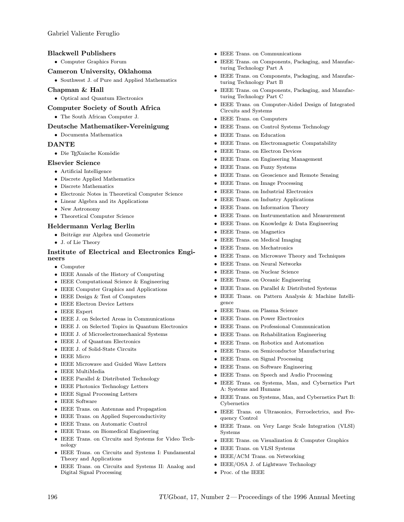# Blackwell Publishers

• Computer Graphics Forum

# Cameron University, Oklahoma

• Southwest J. of Pure and Applied Mathematics

# Chapman & Hall

• Optical and Quantum Electronics

### Computer Society of South Africa

• The South African Computer J.

#### Deutsche Mathematiker-Vereinigung

• Documenta Mathematica

#### DANTE

• Die TEXnische Komödie

#### Elsevier Science

- Artificial Intelligence
- Discrete Applied Mathematics
- Discrete Mathematics
- Electronic Notes in Theoretical Computer Science
- Linear Algebra and its Applications
- New Astronomy
- Theoretical Computer Science

#### Heldermann Verlag Berlin

- Beiträge zur Algebra und Geometrie
- J. of Lie Theory

# Institute of Electrical and Electronics Engineers

- Computer
- IEEE Annals of the History of Computing
- IEEE Computational Science & Engineering
- IEEE Computer Graphics and Applications
- IEEE Design & Test of Computers
- IEEE Electron Device Letters
- IEEE Expert
- IEEE J. on Selected Areas in Communications
- IEEE J. on Selected Topics in Quantum Electronics
- IEEE J. of Microelectromechanical Systems
- IEEE J. of Quantum Electronics
- IEEE J. of Solid-State Circuits
- IEEE Micro
- IEEE Microwave and Guided Wave Letters
- IEEE MultiMedia
- IEEE Parallel & Distributed Technology
- IEEE Photonics Technology Letters
- IEEE Signal Processing Letters
- IEEE Software
- IEEE Trans. on Antennas and Propagation
- IEEE Trans. on Applied Superconductivity
- IEEE Trans. on Automatic Control
- IEEE Trans. on Biomedical Engineering
- IEEE Trans. on Circuits and Systems for Video Technology
- IEEE Trans. on Circuits and Systems I: Fundamental Theory and Applications
- IEEE Trans. on Circuits and Systems II: Analog and Digital Signal Processing
- IEEE Trans. on Communications
- IEEE Trans. on Components, Packaging, and Manufacturing Technology Part A
- IEEE Trans. on Components, Packaging, and Manufacturing Technology Part B
- IEEE Trans. on Components, Packaging, and Manufacturing Technology Part C
- IEEE Trans. on Computer-Aided Design of Integrated Circuits and Systems
- IEEE Trans. on Computers
- IEEE Trans. on Control Systems Technology
- IEEE Trans. on Education
- IEEE Trans. on Electromagnetic Compatability
- IEEE Trans. on Electron Devices
- IEEE Trans. on Engineering Management
- IEEE Trans. on Fuzzy Systems
- IEEE Trans. on Geoscience and Remote Sensing
- IEEE Trans. on Image Processing
- IEEE Trans. on Industrial Electronics
- IEEE Trans. on Industry Applications
- IEEE Trans. on Information Theory
- IEEE Trans. on Instrumentation and Measurement
- IEEE Trans. on Knowledge & Data Engineering
- IEEE Trans. on Magnetics
- IEEE Trans. on Medical Imaging
- IEEE Trans. on Mechatronics
- IEEE Trans. on Microwave Theory and Techniques
- IEEE Trans. on Neural Networks
- IEEE Trans. on Nuclear Science
- IEEE Trans. on Oceanic Engineering
- IEEE Trans. on Parallel & Distributed Systems
- IEEE Trans. on Pattern Analysis & Machine Intelligence
- IEEE Trans. on Plasma Science
- IEEE Trans. on Power Electronics
- IEEE Trans. on Professional Communication
- IEEE Trans. on Rehabilitation Engineering
- IEEE Trans. on Robotics and Automation
- IEEE Trans. on Semiconductor Manufacturing
- IEEE Trans. on Signal Processing
- IEEE Trans. on Software Engineering
- IEEE Trans. on Speech and Audio Processing
- IEEE Trans. on Systems, Man, and Cybernetics Part A: Systems and Humans
- IEEE Trans. on Systems, Man, and Cybernetics Part B: Cybernetics
- IEEE Trans. on Ultrasonics, Ferroelectrics, and Frequency Control
- IEEE Trans. on Very Large Scale Integration (VLSI) Systems
- IEEE Trans. on Visualization & Computer Graphics
- IEEE Trans. on VLSI Systems
- IEEE/ACM Trans. on Networking
- IEEE/OSA J. of Lightwave Technology
- Proc. of the IEEE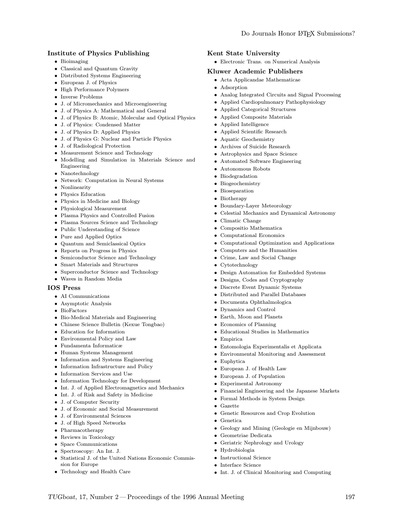# Institute of Physics Publishing

- Bioimaging
- Classical and Quantum Gravity
- Distributed Systems Engineering
- European J. of Physics
- High Performance Polymers
- Inverse Problems
- J. of Micromechanics and Microengineering
- J. of Physics A: Mathematical and General
- J. of Physics B: Atomic, Molecular and Optical Physics
- J. of Physics: Condensed Matter
- J. of Physics D: Applied Physics
- J. of Physics G: Nuclear and Particle Physics
- J. of Radiological Protection
- Measurement Science and Technology
- Modelling and Simulation in Materials Science and Engineering
- Nanotechnology
- Network: Computation in Neural Systems
- Nonlinearity
- Physics Education
- Physics in Medicine and Biology
- Physiological Measurement
- Plasma Physics and Controlled Fusion
- Plasma Sources Science and Technology
- Public Understanding of Science
- Pure and Applied Optics
- Quantum and Semiclassical Optics
- Reports on Progress in Physics
- Semiconductor Science and Technology
- Smart Materials and Structures
- Superconductor Science and Technology
- Waves in Random Media

# IOS Press

- AI Communications
- Asymptotic Analysis
- BioFactors
- Bio-Medical Materials and Engineering
- Chinese Science Bulletin (Kexue Tongbao)
- Education for Information
- Environmental Policy and Law
- Fundamenta Informaticæ
- Human Systems Management
- Information and Systems Engineering
- Information Infrastructure and Policy
- Information Services and Use
- Information Technology for Development
- Int. J. of Applied Electromagnetics and Mechanics
- Int. J. of Risk and Safety in Medicine
- J. of Computer Security
- J. of Economic and Social Measurement
- J. of Environmental Sciences
- J. of High Speed Networks
- Pharmacotherapy
- Reviews in Toxicology
- Space Communications
- Spectroscopy: An Int. J.
- Statistical J. of the United Nations Economic Commission for Europe
- Technology and Health Care

### Kent State University

• Electronic Trans. on Numerical Analysis

# Kluwer Academic Publishers

- Acta Applicandae Mathematicae
- Adsorption
- Analog Integrated Circuits and Signal Processing
- Applied Cardiopulmonary Pathophysiology
- Applied Categorical Structures
- Applied Composite Materials
- Applied Intelligence
- Applied Scientific Research
- Aquatic Geochemistry
- Archives of Suicide Research
- Astrophysics and Space Science
- Automated Software Engineering
- Autonomous Robots
- Biodegradation
- Biogeochemistry
- Bioseparation
- Biotherapy
- Boundary-Layer Meteorology
- Celestial Mechanics and Dynamical Astronomy
- Climatic Change
- Compositio Mathematica
- Computational Economics
- Computational Optimization and Applications
- Computers and the Humanities
- Crime, Law and Social Change
- Cytotechnology
- Design Automation for Embedded Systems
- Designs, Codes and Cryptography
- Discrete Event Dynamic Systems
- Distributed and Parallel Databases
- Documenta Ophthalmologica
- Dynamics and Control
- Earth, Moon and Planets

• European J. of Health Law • European J. of Population • Experimental Astronomy

- Economics of Planning
	- Educational Studies in Mathematics

• Formal Methods in System Design

• Genetic Resources and Crop Evolution

• Geriatric Nephrology and Urology

• Empirica

• Euphytica

• Gazette

• Genetica

• Hydrobiologia • Instructional Science • Interface Science

TUGboat, 17, Number 2—Proceedings of the 1996 Annual Meeting 197

• Geometriae Dedicata

- Entomologia Experimentalis et Applicata
- Environmental Monitoring and Assessment

• Financial Engineering and the Japanese Markets

• Geology and Mining (Geologie en Mijnbouw)

• Int. J. of Clinical Monitoring and Computing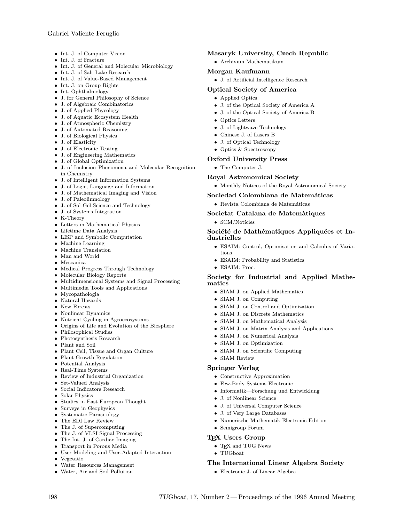- Int. J. of Computer Vision
- Int. J. of Fracture
- Int. J. of General and Molecular Microbiology
- Int. J. of Salt Lake Research
- Int. J. of Value-Based Management
- Int. J. on Group Rights
- Int. Ophthalmology
- J. for General Philosophy of Science
- J. of Algebraic Combinatorics
- J. of Applied Phycology
- J. of Aquatic Ecosystem Health
- J. of Atmospheric Chemistry • J. of Automated Reasoning
- J. of Biological Physics
- J. of Elasticity
- J. of Electronic Testing
- J. of Engineering Mathematics
- J. of Global Optimization
- J. of Inclusion Phenomena and Molecular Recognition in Chemistry
- J. of Intelligent Information Systems
- J. of Logic, Language and Information
- J. of Mathematical Imaging and Vision
- J. of Paleolimnology
- J. of Sol-Gel Science and Technology
- J. of Systems Integration
- K-Theory
- Letters in Mathematical Physics
- Lifetime Data Analysis
- LISP and Symbolic Computation
- Machine Learning
- Machine Translation
- Man and World
- Meccanica
- Medical Progress Through Technology
- Molecular Biology Reports
- Multidimensional Systems and Signal Processing
- $\bullet~$  Multimedia Tools and Applications
- Mycopathologia
- Natural Hazards
- New Forests
- Nonlinear Dynamics
- Nutrient Cycling in Agroecosystems
- Origins of Life and Evolution of the Biosphere
- Philosophical Studies
- Photosynthesis Research
- Plant and Soil
- Plant Cell, Tissue and Organ Culture
- Plant Growth Regulation
- Potential Analysis
- Real-Time Systems
- Review of Industrial Organization
- Set-Valued Analysis
- Social Indicators Research
- Solar Physics
- Studies in East European Thought
- Surveys in Geophysics
- Systematic Parasitology
- The EDI Law Review
- The J. of Supercomputing
- The J. of VLSI Signal Processing • The Int. J. of Cardiac Imaging
- Transport in Porous Media
- User Modeling and User-Adapted Interaction
- Vegetatio
- Water Resources Management
- Water, Air and Soil Pollution

# Masaryk University, Czech Republic

• Archivum Mathematikum

# Morgan Kaufmann

• J. of Artificial Intelligence Research

# Optical Society of America

- Applied Optics
- J. of the Optical Society of America A
- J. of the Optical Society of America B
- Optics Letters
- J. of Lightwave Technology
- Chinese J. of Lasers B
- J. of Optical Technology
- Optics & Spectroscopy

# Oxford University Press

• The Computer J.

# Royal Astronomical Society

- Monthly Notices of the Royal Astronomical Society
- Sociedad Colombiana de Matemáticas
	- $\bullet$  Revista Colombiana de Matemáticas

# Societat Catalana de Matemàtiques

 $\bullet$  SCM/Notícies

# Société de Mathématiques Appliquées et Industrielles

- ESAIM: Control, Optimisation and Calculus of Variations
- ESAIM: Probability and Statistics
- ESAIM: Proc.

# Society for Industrial and Applied Mathematics

- SIAM J. on Applied Mathematics
- SIAM J. on Computing
- SIAM J. on Control and Optimization
- SIAM J. on Discrete Mathematics
- SIAM J. on Mathematical Analysis
- SIAM J. on Matrix Analysis and Applications
- SIAM J. on Numerical Analysis

• Constructive Approximation • Few-Body Systems Electronic

• J. of Universal Computer Science • J. of Very Large Databases

• Electronic J. of Linear Algebra

• J. of Nonlinear Science

• Semigroup Forum T<sub>F</sub>X Users Group • TEX and TUG News

• TUGboat

198 TUGboat, 17, Number 2—Proceedings of the 1996 Annual Meeting

• SIAM J. on Optimization

• SIAM Review Springer Verlag

• SIAM J. on Scientific Computing

• Informatik—Forschung und Entwicklung

• Numerische Mathematik Electronic Edition

The International Linear Algebra Society